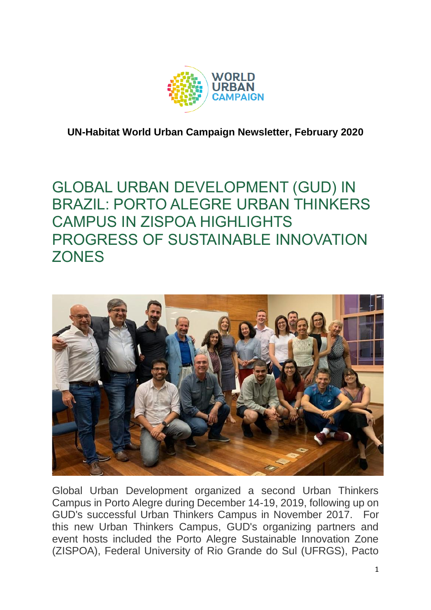

**UN-Habitat World Urban Campaign Newsletter, February 2020**

## GLOBAL URBAN DEVELOPMENT (GUD) IN BRAZIL: PORTO ALEGRE URBAN THINKERS CAMPUS IN ZISPOA HIGHLIGHTS PROGRESS OF SUSTAINABLE INNOVATION **ZONES**



Global Urban Development organized a second Urban Thinkers Campus in Porto Alegre during December 14-19, 2019, following up on GUD's successful Urban Thinkers Campus in November 2017. For this new Urban Thinkers Campus, GUD's organizing partners and event hosts included the Porto Alegre Sustainable Innovation Zone (ZISPOA), Federal University of Rio Grande do Sul (UFRGS), Pacto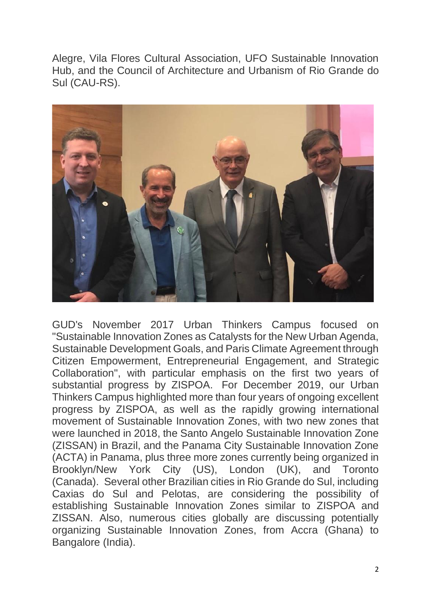Alegre, Vila Flores Cultural Association, UFO Sustainable Innovation Hub, and the Council of Architecture and Urbanism of Rio Grande do Sul (CAU-RS).



GUD's November 2017 Urban Thinkers Campus focused on "Sustainable Innovation Zones as Catalysts for the New Urban Agenda, Sustainable Development Goals, and Paris Climate Agreement through Citizen Empowerment, Entrepreneurial Engagement, and Strategic Collaboration", with particular emphasis on the first two years of substantial progress by ZISPOA. For December 2019, our Urban Thinkers Campus highlighted more than four years of ongoing excellent progress by ZISPOA, as well as the rapidly growing international movement of Sustainable Innovation Zones, with two new zones that were launched in 2018, the Santo Angelo Sustainable Innovation Zone (ZISSAN) in Brazil, and the Panama City Sustainable Innovation Zone (ACTA) in Panama, plus three more zones currently being organized in Brooklyn/New York City (US), London (UK), and Toronto (Canada). Several other Brazilian cities in Rio Grande do Sul, including Caxias do Sul and Pelotas, are considering the possibility of establishing Sustainable Innovation Zones similar to ZISPOA and ZISSAN. Also, numerous cities globally are discussing potentially organizing Sustainable Innovation Zones, from Accra (Ghana) to Bangalore (India).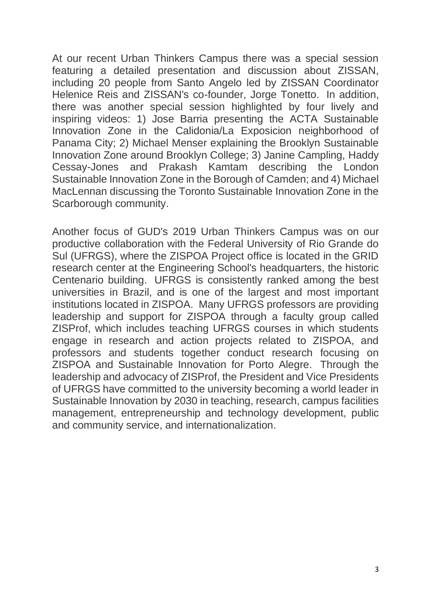At our recent Urban Thinkers Campus there was a special session featuring a detailed presentation and discussion about ZISSAN, including 20 people from Santo Angelo led by ZISSAN Coordinator Helenice Reis and ZISSAN's co-founder, Jorge Tonetto. In addition, there was another special session highlighted by four lively and inspiring videos: 1) Jose Barria presenting the ACTA Sustainable Innovation Zone in the Calidonia/La Exposicion neighborhood of Panama City; 2) Michael Menser explaining the Brooklyn Sustainable Innovation Zone around Brooklyn College; 3) Janine Campling, Haddy Cessay-Jones and Prakash Kamtam describing the London Sustainable Innovation Zone in the Borough of Camden; and 4) Michael MacLennan discussing the Toronto Sustainable Innovation Zone in the Scarborough community.

Another focus of GUD's 2019 Urban Thinkers Campus was on our productive collaboration with the Federal University of Rio Grande do Sul (UFRGS), where the ZISPOA Project office is located in the GRID research center at the Engineering School's headquarters, the historic Centenario building. UFRGS is consistently ranked among the best universities in Brazil, and is one of the largest and most important institutions located in ZISPOA. Many UFRGS professors are providing leadership and support for ZISPOA through a faculty group called ZISProf, which includes teaching UFRGS courses in which students engage in research and action projects related to ZISPOA, and professors and students together conduct research focusing on ZISPOA and Sustainable Innovation for Porto Alegre. Through the leadership and advocacy of ZISProf, the President and Vice Presidents of UFRGS have committed to the university becoming a world leader in Sustainable Innovation by 2030 in teaching, research, campus facilities management, entrepreneurship and technology development, public and community service, and internationalization.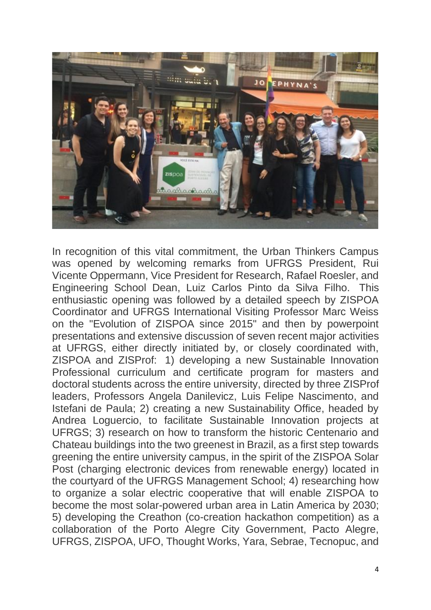

In recognition of this vital commitment, the Urban Thinkers Campus was opened by welcoming remarks from UFRGS President, Rui Vicente Oppermann, Vice President for Research, Rafael Roesler, and Engineering School Dean, Luiz Carlos Pinto da Silva Filho. This enthusiastic opening was followed by a detailed speech by ZISPOA Coordinator and UFRGS International Visiting Professor Marc Weiss on the "Evolution of ZISPOA since 2015" and then by powerpoint presentations and extensive discussion of seven recent major activities at UFRGS, either directly initiated by, or closely coordinated with, ZISPOA and ZISProf: 1) developing a new Sustainable Innovation Professional curriculum and certificate program for masters and doctoral students across the entire university, directed by three ZISProf leaders, Professors Angela Danilevicz, Luis Felipe Nascimento, and Istefani de Paula; 2) creating a new Sustainability Office, headed by Andrea Loguercio, to facilitate Sustainable Innovation projects at UFRGS; 3) research on how to transform the historic Centenario and Chateau buildings into the two greenest in Brazil, as a first step towards greening the entire university campus, in the spirit of the ZISPOA Solar Post (charging electronic devices from renewable energy) located in the courtyard of the UFRGS Management School; 4) researching how to organize a solar electric cooperative that will enable ZISPOA to become the most solar-powered urban area in Latin America by 2030; 5) developing the Creathon (co-creation hackathon competition) as a collaboration of the Porto Alegre City Government, Pacto Alegre, UFRGS, ZISPOA, UFO, Thought Works, Yara, Sebrae, Tecnopuc, and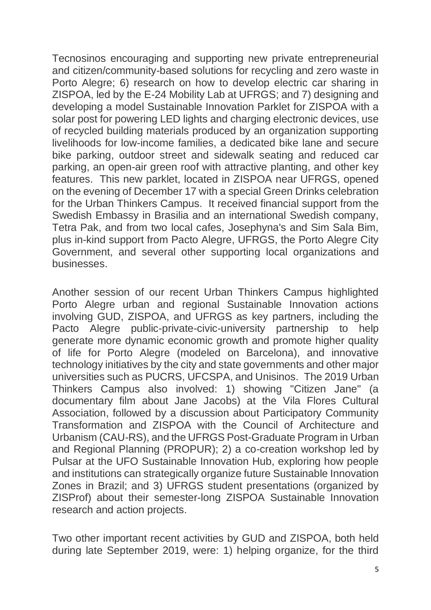Tecnosinos encouraging and supporting new private entrepreneurial and citizen/community-based solutions for recycling and zero waste in Porto Alegre; 6) research on how to develop electric car sharing in ZISPOA, led by the E-24 Mobility Lab at UFRGS; and 7) designing and developing a model Sustainable Innovation Parklet for ZISPOA with a solar post for powering LED lights and charging electronic devices, use of recycled building materials produced by an organization supporting livelihoods for low-income families, a dedicated bike lane and secure bike parking, outdoor street and sidewalk seating and reduced car parking, an open-air green roof with attractive planting, and other key features. This new parklet, located in ZISPOA near UFRGS, opened on the evening of December 17 with a special Green Drinks celebration for the Urban Thinkers Campus. It received financial support from the Swedish Embassy in Brasilia and an international Swedish company, Tetra Pak, and from two local cafes, Josephyna's and Sim Sala Bim, plus in-kind support from Pacto Alegre, UFRGS, the Porto Alegre City Government, and several other supporting local organizations and businesses.

Another session of our recent Urban Thinkers Campus highlighted Porto Alegre urban and regional Sustainable Innovation actions involving GUD, ZISPOA, and UFRGS as key partners, including the Pacto Alegre public-private-civic-university partnership to help generate more dynamic economic growth and promote higher quality of life for Porto Alegre (modeled on Barcelona), and innovative technology initiatives by the city and state governments and other major universities such as PUCRS, UFCSPA, and Unisinos. The 2019 Urban Thinkers Campus also involved: 1) showing "Citizen Jane" (a documentary film about Jane Jacobs) at the Vila Flores Cultural Association, followed by a discussion about Participatory Community Transformation and ZISPOA with the Council of Architecture and Urbanism (CAU-RS), and the UFRGS Post-Graduate Program in Urban and Regional Planning (PROPUR); 2) a co-creation workshop led by Pulsar at the UFO Sustainable Innovation Hub, exploring how people and institutions can strategically organize future Sustainable Innovation Zones in Brazil; and 3) UFRGS student presentations (organized by ZISProf) about their semester-long ZISPOA Sustainable Innovation research and action projects.

Two other important recent activities by GUD and ZISPOA, both held during late September 2019, were: 1) helping organize, for the third